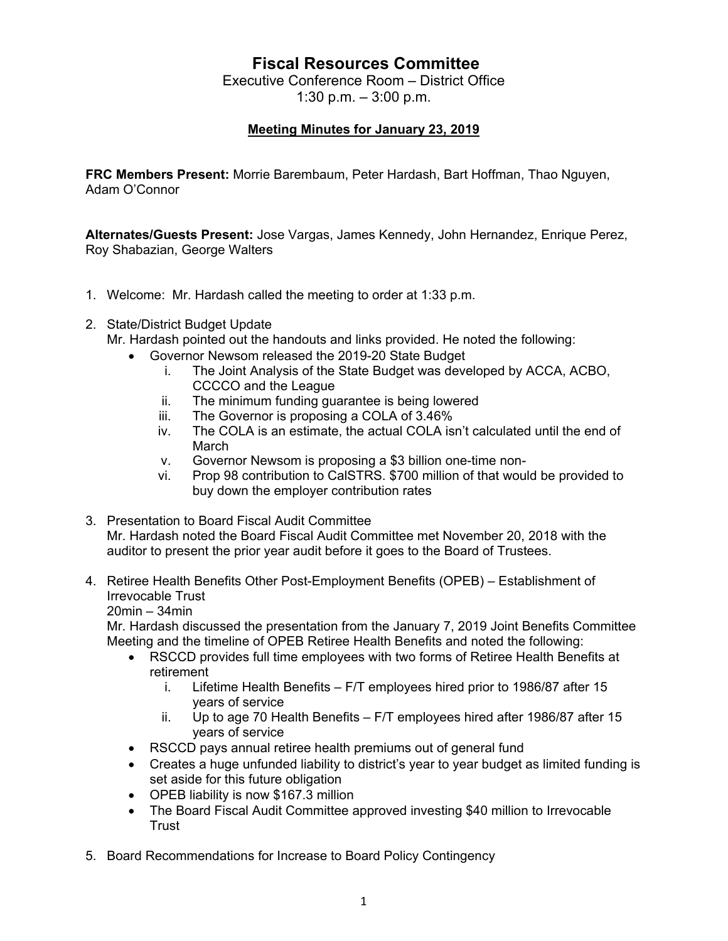## **Fiscal Resources Committee**

Executive Conference Room – District Office 1:30 p.m. – 3:00 p.m.

## **Meeting Minutes for January 23, 2019**

**FRC Members Present:** Morrie Barembaum, Peter Hardash, Bart Hoffman, Thao Nguyen, Adam O'Connor

**Alternates/Guests Present:** Jose Vargas, James Kennedy, John Hernandez, Enrique Perez, Roy Shabazian, George Walters

- 1. Welcome: Mr. Hardash called the meeting to order at 1:33 p.m.
- 2. State/District Budget Update

Mr. Hardash pointed out the handouts and links provided. He noted the following:

- Governor Newsom released the 2019-20 State Budget
	- i. The Joint Analysis of the State Budget was developed by ACCA, ACBO, CCCCO and the League
	- ii. The minimum funding guarantee is being lowered
	- iii. The Governor is proposing a COLA of 3.46%
	- iv. The COLA is an estimate, the actual COLA isn't calculated until the end of March
	- v. Governor Newsom is proposing a \$3 billion one-time non-
	- vi. Prop 98 contribution to CalSTRS. \$700 million of that would be provided to buy down the employer contribution rates
- 3. Presentation to Board Fiscal Audit Committee Mr. Hardash noted the Board Fiscal Audit Committee met November 20, 2018 with the auditor to present the prior year audit before it goes to the Board of Trustees.
- 4. Retiree Health Benefits Other Post-Employment Benefits (OPEB) Establishment of Irrevocable Trust
	- 20min 34min

Mr. Hardash discussed the presentation from the January 7, 2019 Joint Benefits Committee Meeting and the timeline of OPEB Retiree Health Benefits and noted the following:

- RSCCD provides full time employees with two forms of Retiree Health Benefits at retirement
	- i. Lifetime Health Benefits F/T employees hired prior to 1986/87 after 15 years of service
	- ii. Up to age 70 Health Benefits F/T employees hired after 1986/87 after 15 years of service
- RSCCD pays annual retiree health premiums out of general fund
- Creates a huge unfunded liability to district's year to year budget as limited funding is set aside for this future obligation
- OPEB liability is now \$167.3 million
- The Board Fiscal Audit Committee approved investing \$40 million to Irrevocable Trust
- 5. Board Recommendations for Increase to Board Policy Contingency